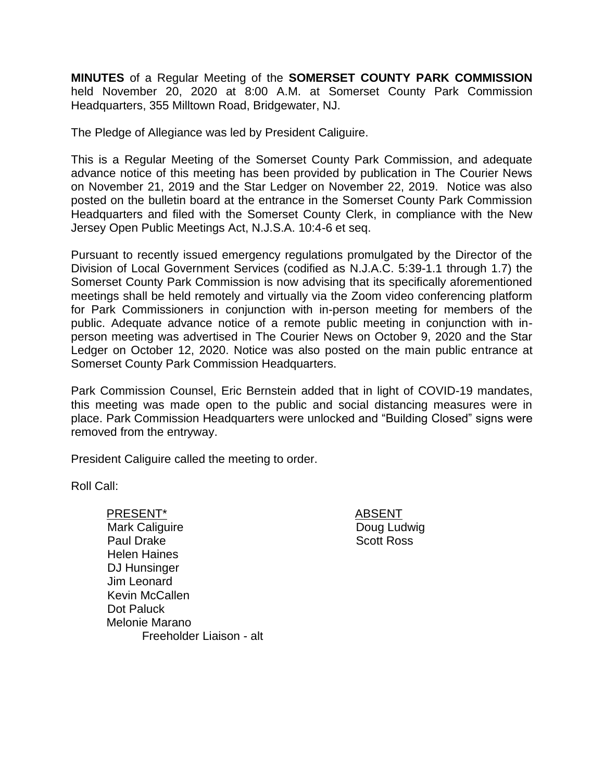**MINUTES** of a Regular Meeting of the **SOMERSET COUNTY PARK COMMISSION** held November 20, 2020 at 8:00 A.M. at Somerset County Park Commission Headquarters, 355 Milltown Road, Bridgewater, NJ.

The Pledge of Allegiance was led by President Caliguire.

This is a Regular Meeting of the Somerset County Park Commission, and adequate advance notice of this meeting has been provided by publication in The Courier News on November 21, 2019 and the Star Ledger on November 22, 2019. Notice was also posted on the bulletin board at the entrance in the Somerset County Park Commission Headquarters and filed with the Somerset County Clerk, in compliance with the New Jersey Open Public Meetings Act, N.J.S.A. 10:4-6 et seq.

Pursuant to recently issued emergency regulations promulgated by the Director of the Division of Local Government Services (codified as N.J.A.C. 5:39-1.1 through 1.7) the Somerset County Park Commission is now advising that its specifically aforementioned meetings shall be held remotely and virtually via the Zoom video conferencing platform for Park Commissioners in conjunction with in-person meeting for members of the public. Adequate advance notice of a remote public meeting in conjunction with inperson meeting was advertised in The Courier News on October 9, 2020 and the Star Ledger on October 12, 2020. Notice was also posted on the main public entrance at Somerset County Park Commission Headquarters.

Park Commission Counsel, Eric Bernstein added that in light of COVID-19 mandates, this meeting was made open to the public and social distancing measures were in place. Park Commission Headquarters were unlocked and "Building Closed" signs were removed from the entryway.

President Caliguire called the meeting to order.

Roll Call:

PRESENT\* ABSENT Mark Caliguire Paul Drake Helen Haines DJ Hunsinger Jim Leonard Kevin McCallen Dot Paluck Melonie Marano Freeholder Liaison - alt

Doug Ludwig Scott Ross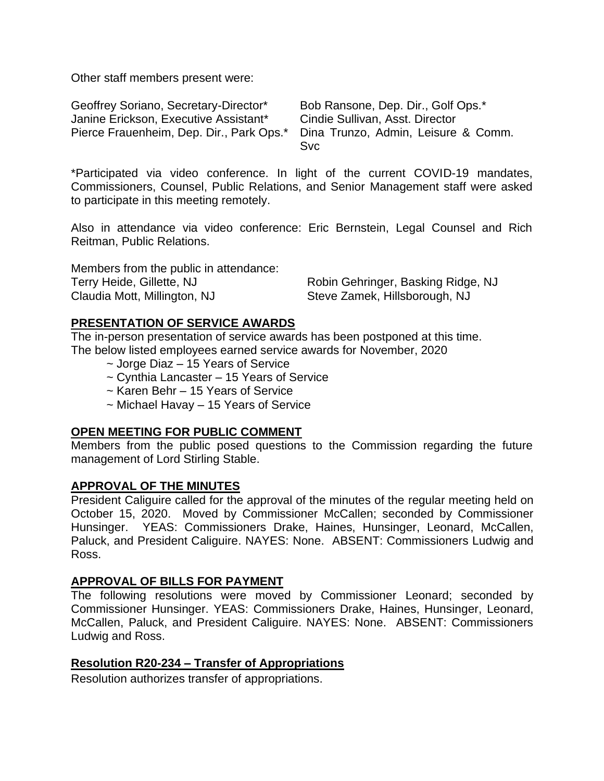Other staff members present were:

| Geoffrey Soriano, Secretary-Director*                                        | Bob Ransone, Dep. Dir., Golf Ops.* |
|------------------------------------------------------------------------------|------------------------------------|
| Janine Erickson, Executive Assistant*                                        | Cindie Sullivan, Asst. Director    |
| Pierce Frauenheim, Dep. Dir., Park Ops.* Dina Trunzo, Admin, Leisure & Comm. |                                    |
|                                                                              | <b>Svc</b>                         |

\*Participated via video conference. In light of the current COVID-19 mandates, Commissioners, Counsel, Public Relations, and Senior Management staff were asked to participate in this meeting remotely.

Also in attendance via video conference: Eric Bernstein, Legal Counsel and Rich Reitman, Public Relations.

| Members from the public in attendance: |                                    |
|----------------------------------------|------------------------------------|
| Terry Heide, Gillette, NJ              | Robin Gehringer, Basking Ridge, NJ |
| Claudia Mott, Millington, NJ           | Steve Zamek, Hillsborough, NJ      |

## **PRESENTATION OF SERVICE AWARDS**

The in-person presentation of service awards has been postponed at this time. The below listed employees earned service awards for November, 2020

- ~ Jorge Diaz 15 Years of Service
- ~ Cynthia Lancaster 15 Years of Service
- ~ Karen Behr 15 Years of Service
- ~ Michael Havay 15 Years of Service

## **OPEN MEETING FOR PUBLIC COMMENT**

Members from the public posed questions to the Commission regarding the future management of Lord Stirling Stable.

#### **APPROVAL OF THE MINUTES**

President Caliguire called for the approval of the minutes of the regular meeting held on October 15, 2020. Moved by Commissioner McCallen; seconded by Commissioner Hunsinger. YEAS: Commissioners Drake, Haines, Hunsinger, Leonard, McCallen, Paluck, and President Caliguire. NAYES: None. ABSENT: Commissioners Ludwig and Ross.

# **APPROVAL OF BILLS FOR PAYMENT**

The following resolutions were moved by Commissioner Leonard; seconded by Commissioner Hunsinger. YEAS: Commissioners Drake, Haines, Hunsinger, Leonard, McCallen, Paluck, and President Caliguire. NAYES: None. ABSENT: Commissioners Ludwig and Ross.

## **Resolution R20-234 – Transfer of Appropriations**

Resolution authorizes transfer of appropriations.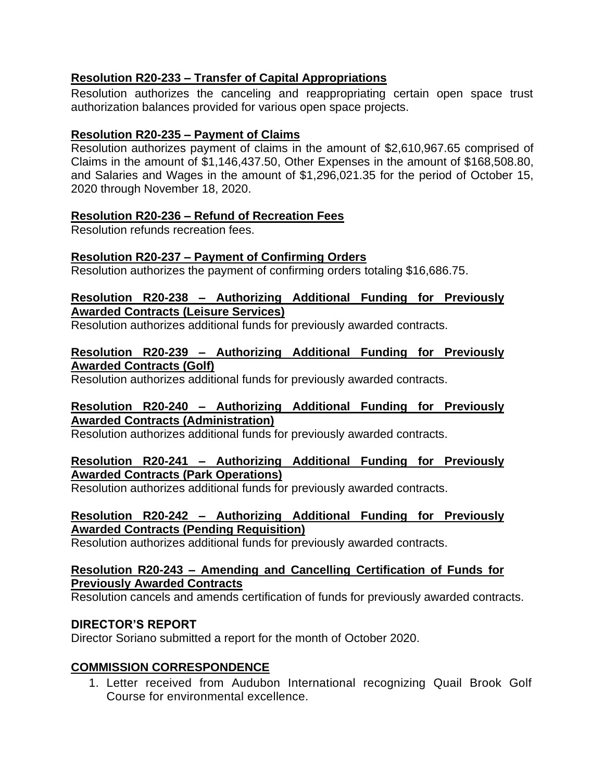# **Resolution R20-233 – Transfer of Capital Appropriations**

Resolution authorizes the canceling and reappropriating certain open space trust authorization balances provided for various open space projects.

## **Resolution R20-235 – Payment of Claims**

Resolution authorizes payment of claims in the amount of \$2,610,967.65 comprised of Claims in the amount of \$1,146,437.50, Other Expenses in the amount of \$168,508.80, and Salaries and Wages in the amount of \$1,296,021.35 for the period of October 15, 2020 through November 18, 2020.

## **Resolution R20-236 – Refund of Recreation Fees**

Resolution refunds recreation fees.

## **Resolution R20-237 – Payment of Confirming Orders**

Resolution authorizes the payment of confirming orders totaling \$16,686.75.

## **Resolution R20-238 – Authorizing Additional Funding for Previously Awarded Contracts (Leisure Services)**

Resolution authorizes additional funds for previously awarded contracts.

## **Resolution R20-239 – Authorizing Additional Funding for Previously Awarded Contracts (Golf)**

Resolution authorizes additional funds for previously awarded contracts.

## **Resolution R20-240 – Authorizing Additional Funding for Previously Awarded Contracts (Administration)**

Resolution authorizes additional funds for previously awarded contracts.

## **Resolution R20-241 – Authorizing Additional Funding for Previously Awarded Contracts (Park Operations)**

Resolution authorizes additional funds for previously awarded contracts.

## **Resolution R20-242 – Authorizing Additional Funding for Previously Awarded Contracts (Pending Requisition)**

Resolution authorizes additional funds for previously awarded contracts.

## **Resolution R20-243 – Amending and Cancelling Certification of Funds for Previously Awarded Contracts**

Resolution cancels and amends certification of funds for previously awarded contracts.

## **DIRECTOR'S REPORT**

Director Soriano submitted a report for the month of October 2020.

# **COMMISSION CORRESPONDENCE**

1. Letter received from Audubon International recognizing Quail Brook Golf Course for environmental excellence.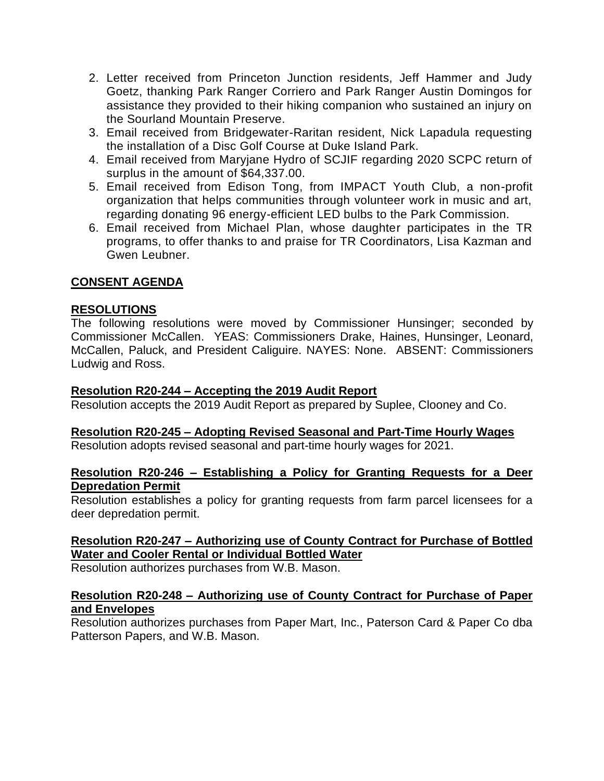- 2. Letter received from Princeton Junction residents, Jeff Hammer and Judy Goetz, thanking Park Ranger Corriero and Park Ranger Austin Domingos for assistance they provided to their hiking companion who sustained an injury on the Sourland Mountain Preserve.
- 3. Email received from Bridgewater-Raritan resident, Nick Lapadula requesting the installation of a Disc Golf Course at Duke Island Park.
- 4. Email received from Maryjane Hydro of SCJIF regarding 2020 SCPC return of surplus in the amount of \$64,337.00.
- 5. Email received from Edison Tong, from IMPACT Youth Club, a non-profit organization that helps communities through volunteer work in music and art, regarding donating 96 energy-efficient LED bulbs to the Park Commission.
- 6. Email received from Michael Plan, whose daughter participates in the TR programs, to offer thanks to and praise for TR Coordinators, Lisa Kazman and Gwen Leubner.

## **CONSENT AGENDA**

## **RESOLUTIONS**

The following resolutions were moved by Commissioner Hunsinger; seconded by Commissioner McCallen. YEAS: Commissioners Drake, Haines, Hunsinger, Leonard, McCallen, Paluck, and President Caliguire. NAYES: None. ABSENT: Commissioners Ludwig and Ross.

#### **Resolution R20-244 – Accepting the 2019 Audit Report**

Resolution accepts the 2019 Audit Report as prepared by Suplee, Clooney and Co.

# **Resolution R20-245 – Adopting Revised Seasonal and Part-Time Hourly Wages**

Resolution adopts revised seasonal and part-time hourly wages for 2021.

## **Resolution R20-246 – Establishing a Policy for Granting Requests for a Deer Depredation Permit**

Resolution establishes a policy for granting requests from farm parcel licensees for a deer depredation permit.

## **Resolution R20-247 – Authorizing use of County Contract for Purchase of Bottled Water and Cooler Rental or Individual Bottled Water**

Resolution authorizes purchases from W.B. Mason.

## **Resolution R20-248 – Authorizing use of County Contract for Purchase of Paper and Envelopes**

Resolution authorizes purchases from Paper Mart, Inc., Paterson Card & Paper Co dba Patterson Papers, and W.B. Mason.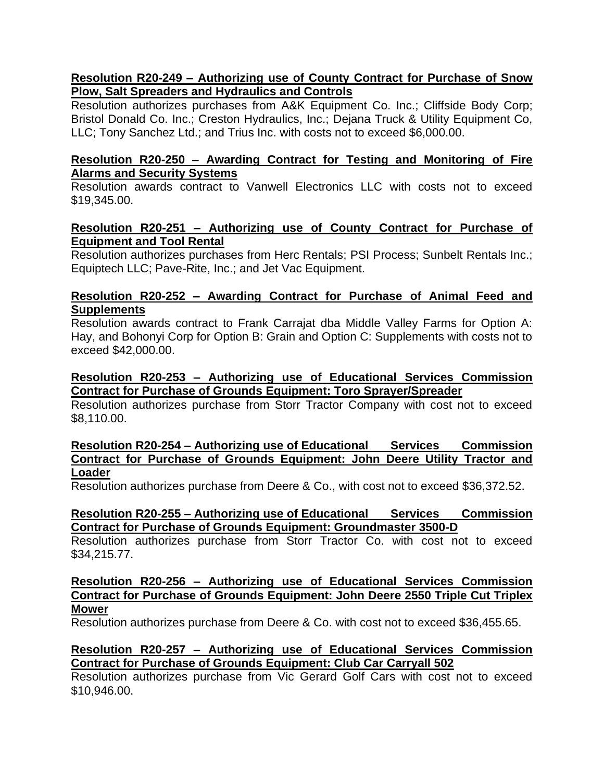## **Resolution R20-249 – Authorizing use of County Contract for Purchase of Snow Plow, Salt Spreaders and Hydraulics and Controls**

Resolution authorizes purchases from A&K Equipment Co. Inc.; Cliffside Body Corp; Bristol Donald Co. Inc.; Creston Hydraulics, Inc.; Dejana Truck & Utility Equipment Co, LLC; Tony Sanchez Ltd.; and Trius Inc. with costs not to exceed \$6,000.00.

## **Resolution R20-250 – Awarding Contract for Testing and Monitoring of Fire Alarms and Security Systems**

Resolution awards contract to Vanwell Electronics LLC with costs not to exceed \$19,345.00.

## **Resolution R20-251 – Authorizing use of County Contract for Purchase of Equipment and Tool Rental**

Resolution authorizes purchases from Herc Rentals; PSI Process; Sunbelt Rentals Inc.; Equiptech LLC; Pave-Rite, Inc.; and Jet Vac Equipment.

## **Resolution R20-252 – Awarding Contract for Purchase of Animal Feed and Supplements**

Resolution awards contract to Frank Carrajat dba Middle Valley Farms for Option A: Hay, and Bohonyi Corp for Option B: Grain and Option C: Supplements with costs not to exceed \$42,000.00.

## **Resolution R20-253 – Authorizing use of Educational Services Commission Contract for Purchase of Grounds Equipment: Toro Sprayer/Spreader**

Resolution authorizes purchase from Storr Tractor Company with cost not to exceed \$8,110.00.

## **Resolution R20-254 – Authorizing use of Educational Services Commission Contract for Purchase of Grounds Equipment: John Deere Utility Tractor and Loader**

Resolution authorizes purchase from Deere & Co., with cost not to exceed \$36,372.52.

## **Resolution R20-255 – Authorizing use of Educational Services Commission Contract for Purchase of Grounds Equipment: Groundmaster 3500-D**

Resolution authorizes purchase from Storr Tractor Co. with cost not to exceed \$34,215.77.

## **Resolution R20-256 – Authorizing use of Educational Services Commission Contract for Purchase of Grounds Equipment: John Deere 2550 Triple Cut Triplex Mower**

Resolution authorizes purchase from Deere & Co. with cost not to exceed \$36,455.65.

## **Resolution R20-257 – Authorizing use of Educational Services Commission Contract for Purchase of Grounds Equipment: Club Car Carryall 502**

Resolution authorizes purchase from Vic Gerard Golf Cars with cost not to exceed \$10,946.00.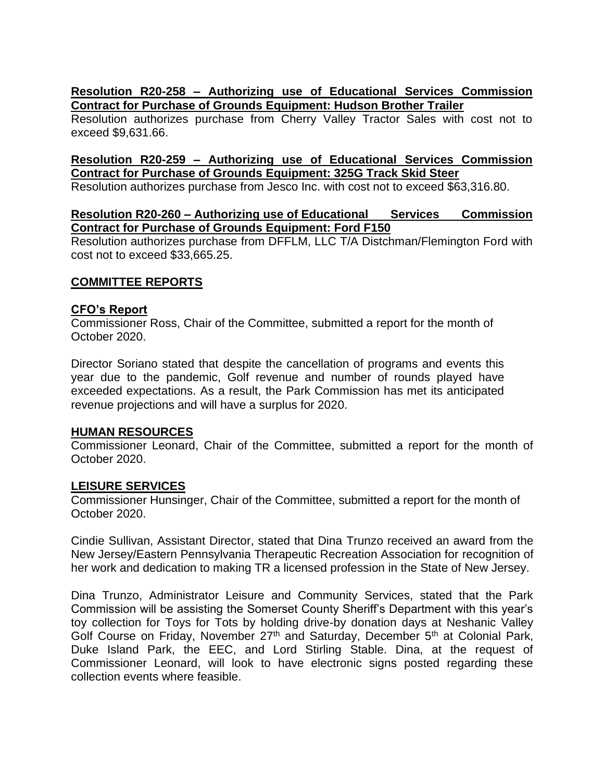## **Resolution R20-258 – Authorizing use of Educational Services Commission Contract for Purchase of Grounds Equipment: Hudson Brother Trailer**

Resolution authorizes purchase from Cherry Valley Tractor Sales with cost not to exceed \$9,631.66.

## **Resolution R20-259 – Authorizing use of Educational Services Commission Contract for Purchase of Grounds Equipment: 325G Track Skid Steer**

Resolution authorizes purchase from Jesco Inc. with cost not to exceed \$63,316.80.

## **Resolution R20-260 – Authorizing use of Educational Services Commission Contract for Purchase of Grounds Equipment: Ford F150**

Resolution authorizes purchase from DFFLM, LLC T/A Distchman/Flemington Ford with cost not to exceed \$33,665.25.

## **COMMITTEE REPORTS**

## **CFO's Report**

Commissioner Ross, Chair of the Committee, submitted a report for the month of October 2020.

Director Soriano stated that despite the cancellation of programs and events this year due to the pandemic, Golf revenue and number of rounds played have exceeded expectations. As a result, the Park Commission has met its anticipated revenue projections and will have a surplus for 2020.

## **HUMAN RESOURCES**

Commissioner Leonard, Chair of the Committee, submitted a report for the month of October 2020.

## **LEISURE SERVICES**

Commissioner Hunsinger, Chair of the Committee, submitted a report for the month of October 2020.

Cindie Sullivan, Assistant Director, stated that Dina Trunzo received an award from the New Jersey/Eastern Pennsylvania Therapeutic Recreation Association for recognition of her work and dedication to making TR a licensed profession in the State of New Jersey.

Dina Trunzo, Administrator Leisure and Community Services, stated that the Park Commission will be assisting the Somerset County Sheriff's Department with this year's toy collection for Toys for Tots by holding drive-by donation days at Neshanic Valley Golf Course on Friday, November 27<sup>th</sup> and Saturday, December 5<sup>th</sup> at Colonial Park, Duke Island Park, the EEC, and Lord Stirling Stable. Dina, at the request of Commissioner Leonard, will look to have electronic signs posted regarding these collection events where feasible.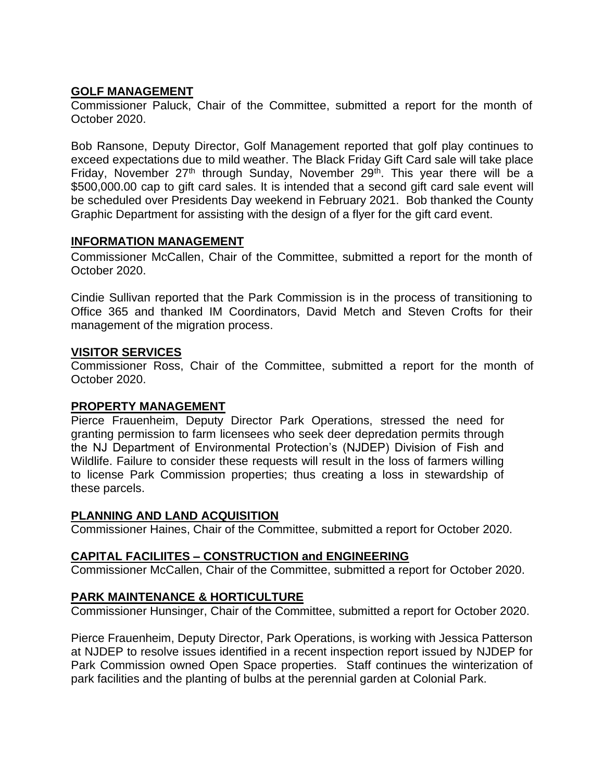## **GOLF MANAGEMENT**

Commissioner Paluck, Chair of the Committee, submitted a report for the month of October 2020.

Bob Ransone, Deputy Director, Golf Management reported that golf play continues to exceed expectations due to mild weather. The Black Friday Gift Card sale will take place Friday, November  $27<sup>th</sup>$  through Sunday, November  $29<sup>th</sup>$ . This year there will be a \$500,000.00 cap to gift card sales. It is intended that a second gift card sale event will be scheduled over Presidents Day weekend in February 2021. Bob thanked the County Graphic Department for assisting with the design of a flyer for the gift card event.

## **INFORMATION MANAGEMENT**

Commissioner McCallen, Chair of the Committee, submitted a report for the month of October 2020.

Cindie Sullivan reported that the Park Commission is in the process of transitioning to Office 365 and thanked IM Coordinators, David Metch and Steven Crofts for their management of the migration process.

## **VISITOR SERVICES**

Commissioner Ross, Chair of the Committee, submitted a report for the month of October 2020.

## **PROPERTY MANAGEMENT**

Pierce Frauenheim, Deputy Director Park Operations, stressed the need for granting permission to farm licensees who seek deer depredation permits through the NJ Department of Environmental Protection's (NJDEP) Division of Fish and Wildlife. Failure to consider these requests will result in the loss of farmers willing to license Park Commission properties; thus creating a loss in stewardship of these parcels.

## **PLANNING AND LAND ACQUISITION**

Commissioner Haines, Chair of the Committee, submitted a report for October 2020.

## **CAPITAL FACILIITES – CONSTRUCTION and ENGINEERING**

Commissioner McCallen, Chair of the Committee, submitted a report for October 2020.

## **PARK MAINTENANCE & HORTICULTURE**

Commissioner Hunsinger, Chair of the Committee, submitted a report for October 2020.

Pierce Frauenheim, Deputy Director, Park Operations, is working with Jessica Patterson at NJDEP to resolve issues identified in a recent inspection report issued by NJDEP for Park Commission owned Open Space properties. Staff continues the winterization of park facilities and the planting of bulbs at the perennial garden at Colonial Park.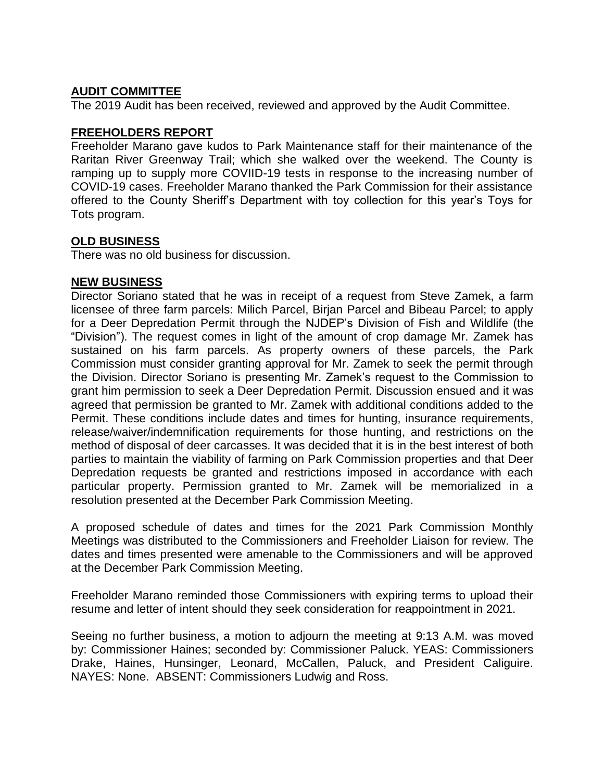## **AUDIT COMMITTEE**

The 2019 Audit has been received, reviewed and approved by the Audit Committee.

#### **FREEHOLDERS REPORT**

Freeholder Marano gave kudos to Park Maintenance staff for their maintenance of the Raritan River Greenway Trail; which she walked over the weekend. The County is ramping up to supply more COVIID-19 tests in response to the increasing number of COVID-19 cases. Freeholder Marano thanked the Park Commission for their assistance offered to the County Sheriff's Department with toy collection for this year's Toys for Tots program.

## **OLD BUSINESS**

There was no old business for discussion.

#### **NEW BUSINESS**

Director Soriano stated that he was in receipt of a request from Steve Zamek, a farm licensee of three farm parcels: Milich Parcel, Birjan Parcel and Bibeau Parcel; to apply for a Deer Depredation Permit through the NJDEP's Division of Fish and Wildlife (the "Division"). The request comes in light of the amount of crop damage Mr. Zamek has sustained on his farm parcels. As property owners of these parcels, the Park Commission must consider granting approval for Mr. Zamek to seek the permit through the Division. Director Soriano is presenting Mr. Zamek's request to the Commission to grant him permission to seek a Deer Depredation Permit. Discussion ensued and it was agreed that permission be granted to Mr. Zamek with additional conditions added to the Permit. These conditions include dates and times for hunting, insurance requirements, release/waiver/indemnification requirements for those hunting, and restrictions on the method of disposal of deer carcasses. It was decided that it is in the best interest of both parties to maintain the viability of farming on Park Commission properties and that Deer Depredation requests be granted and restrictions imposed in accordance with each particular property. Permission granted to Mr. Zamek will be memorialized in a resolution presented at the December Park Commission Meeting.

A proposed schedule of dates and times for the 2021 Park Commission Monthly Meetings was distributed to the Commissioners and Freeholder Liaison for review. The dates and times presented were amenable to the Commissioners and will be approved at the December Park Commission Meeting.

Freeholder Marano reminded those Commissioners with expiring terms to upload their resume and letter of intent should they seek consideration for reappointment in 2021.

Seeing no further business, a motion to adjourn the meeting at 9:13 A.M. was moved by: Commissioner Haines; seconded by: Commissioner Paluck. YEAS: Commissioners Drake, Haines, Hunsinger, Leonard, McCallen, Paluck, and President Caliguire. NAYES: None. ABSENT: Commissioners Ludwig and Ross.